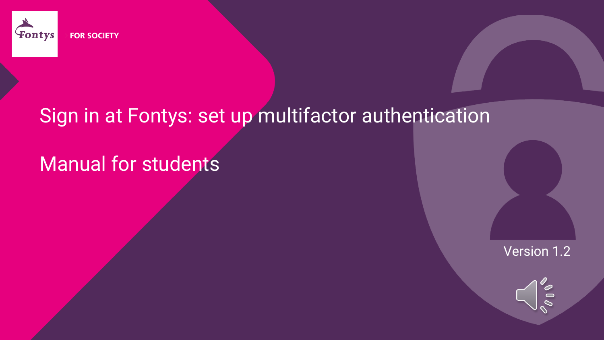

### Sign in at Fontys: set up multifactor authentication

## Manual for students

Version 1.2

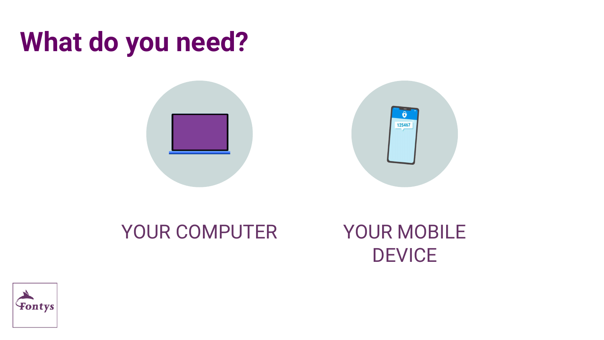## **What do you need?**





### YOUR COMPUTER YOUR MOBILE **DEVICE**

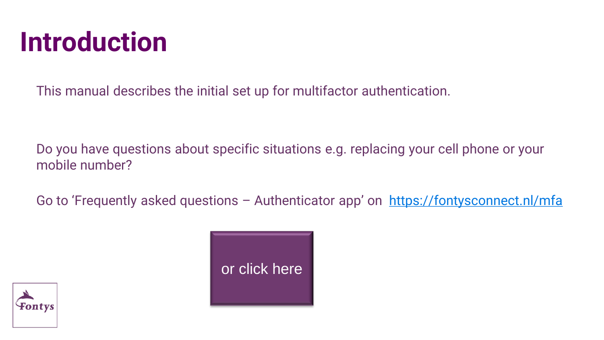## **Introduction**

This manual describes the initial set up for multifactor authentication.

Do you have questions about specific situations e.g. replacing your cell phone or your mobile number?

Go to 'Frequently asked questions – Authenticator app' on <https://fontysconnect.nl/mfa>



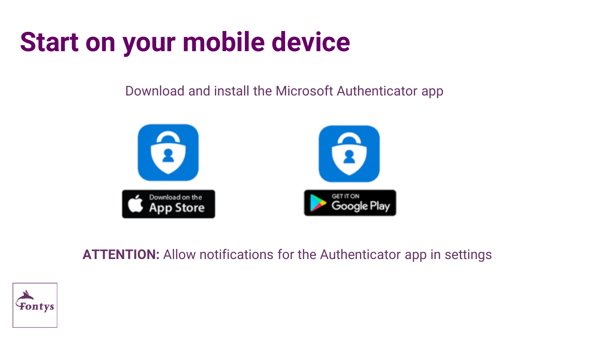# **Start on your mobile device**

Download and install the Microsoft Authenticator app



**ATTENTION:** Allow notifications for the Authenticator app in settings

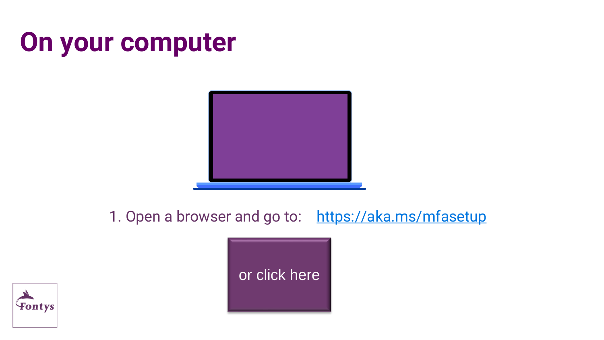# **On your computer**



1. Open a browser and go to: <https://aka.ms/mfasetup>



[or click here](https://aka.ms/mfasetup)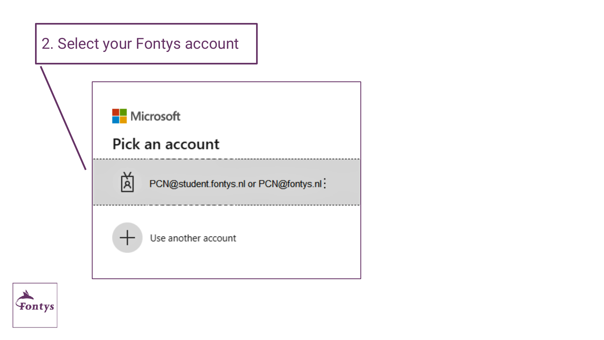

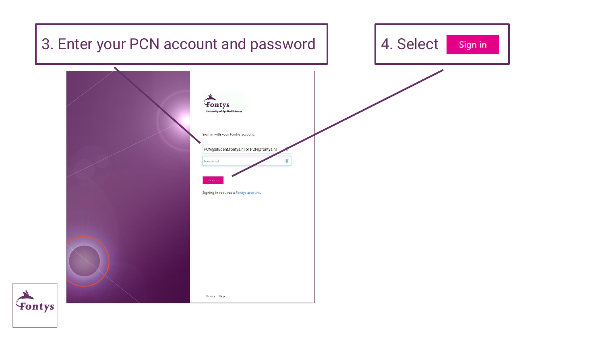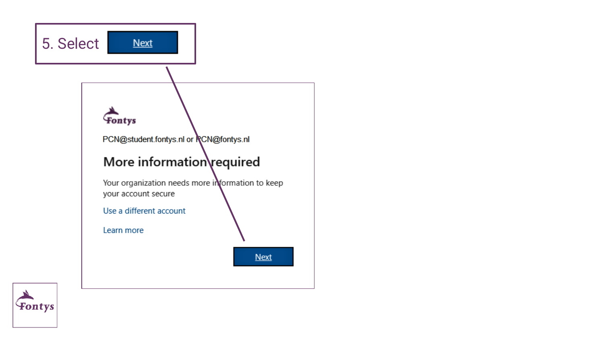

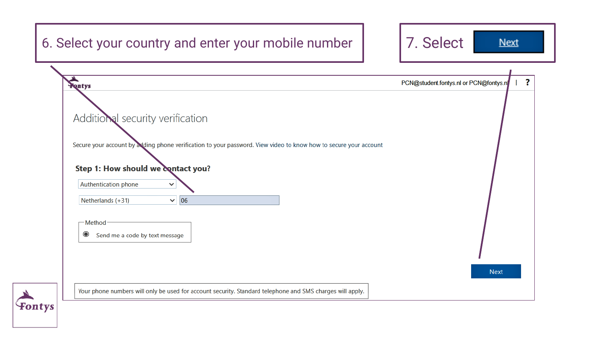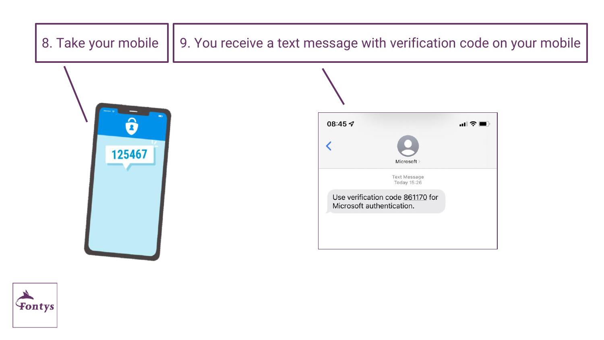

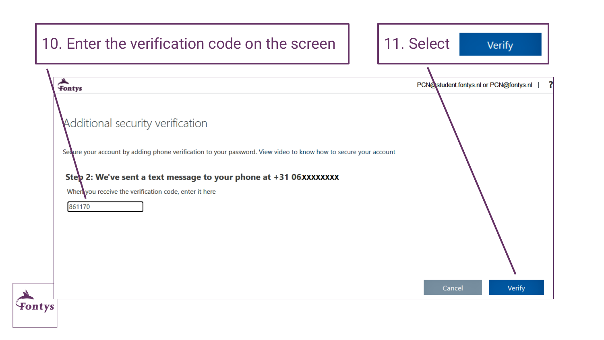| 10. Enter the verification code on the screen                                                                                                                                                                                                                                                | 11. Select<br>Verify                   |
|----------------------------------------------------------------------------------------------------------------------------------------------------------------------------------------------------------------------------------------------------------------------------------------------|----------------------------------------|
| Fontys                                                                                                                                                                                                                                                                                       | PCN@student.fontys.nl or PCN@fontys.nl |
| Additional security verification<br>Sedure your account by adding phone verification to your password. View video to know how to secure your account<br>Step 2: We've sent a text message to your phone at +31 06XXXXXXXX<br>When you receive the verification code, enter it here<br>861170 |                                        |
|                                                                                                                                                                                                                                                                                              |                                        |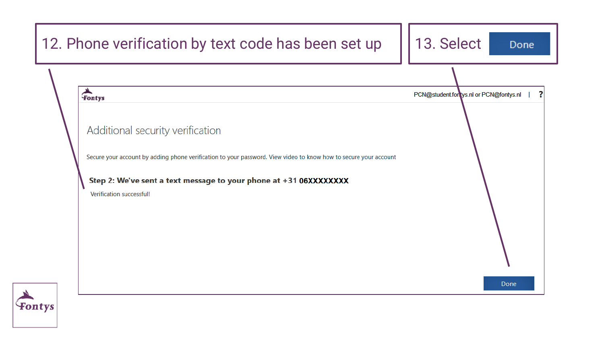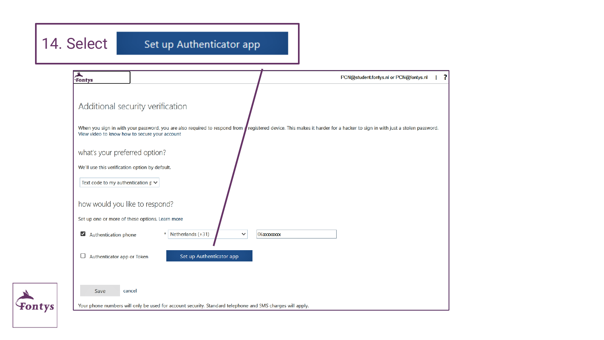### 14. Select

#### Set up Authenticator app



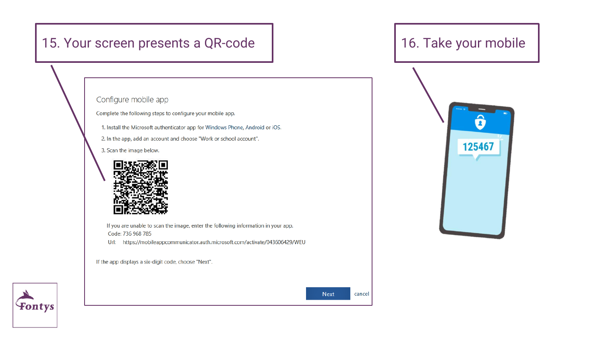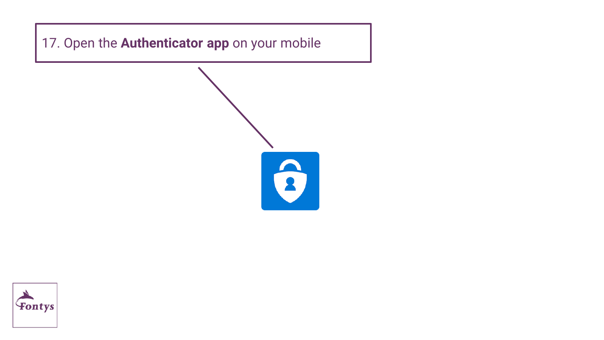17. Open the **Authenticator app** on your mobile



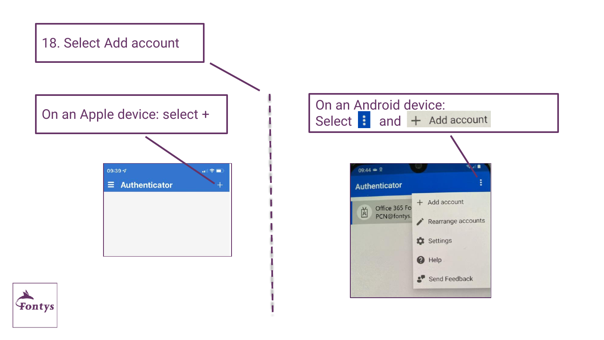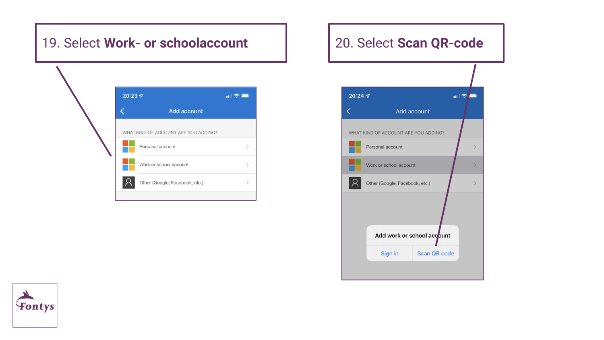#### 19. Select **Work- or schoolaccount** 20. Select **Scan QR-code**

|                                      | $20:23 \, \text{C}$            | $\mathbf{d}$ |
|--------------------------------------|--------------------------------|--------------|
|                                      | <b>Add account</b>             |              |
| WHAT KIND OF ACCOUNT ARE YOU ADDING? |                                |              |
|                                      | Personal account               |              |
|                                      | Work or school account         |              |
|                                      | Other (Google, Facebook, etc.) |              |

### $20:24 \text{ } 7$  $\ln |\mathcal{R}|$ Add account WHAT KIND OF ACCOUNT ARE YOU ADDING? Personal account  $\rightarrow$ Work or school account  $\rightarrow$ ΙR Other (Google, Facebook, etc.) Add work or school account Scan QR code Sign in

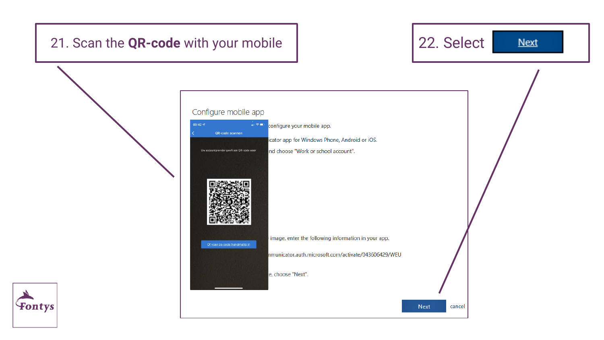### 21. Scan the **QR-code** with your mobile **122.** Select

Fontys

**Next** 

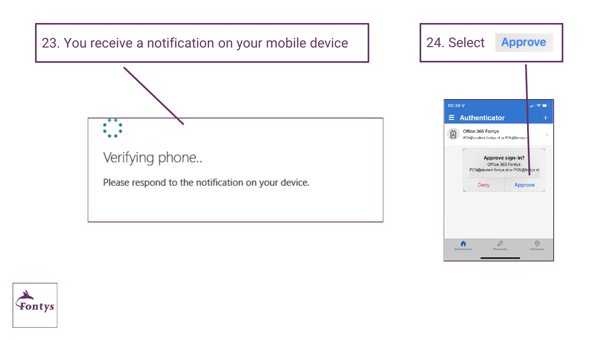

Authenticator

Passwords

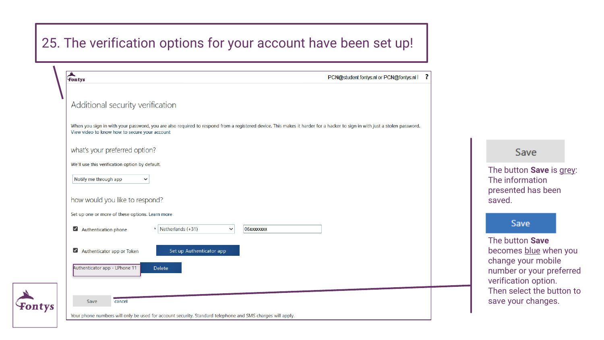#### 25. The verification options for your account have been set up!

| ▲ | PCN@student.fontys.nl or PCN@fontys.nl  <br>Fontys                                                                                                                                                                         |
|---|----------------------------------------------------------------------------------------------------------------------------------------------------------------------------------------------------------------------------|
|   | Additional security verification                                                                                                                                                                                           |
|   | When you sign in with your password, you are also required to respond from a registered device. This makes it harder for a hacker to sign in with just a stolen password.<br>View video to know how to secure your account |
|   | what's your preferred option?                                                                                                                                                                                              |
|   | We'll use this verification option by default.                                                                                                                                                                             |
|   | Notify me through app<br>$\checkmark$                                                                                                                                                                                      |
|   | how would you like to respond?                                                                                                                                                                                             |
|   | Set up one or more of these options. Learn more                                                                                                                                                                            |
|   | Netherlands (+31)<br>Authentication phone<br>$\star$<br>06xxxxxxxx<br>$\checkmark$                                                                                                                                         |
|   | Authenticator app or Token<br>Set up Authenticator app                                                                                                                                                                     |
|   | Authenticator app - LPhone 11<br>Delete                                                                                                                                                                                    |
|   |                                                                                                                                                                                                                            |
|   | Save<br>cancel                                                                                                                                                                                                             |
|   | Your phone numbers will only be used for account security. Standard telephone and SMS charges will apply.                                                                                                                  |

Save

The button **Save** is grey: The information presented has been saved.

#### Save

The button **Save**  becomes blue when you change your mobile number or your preferred verification option. Then select the button to save your changes.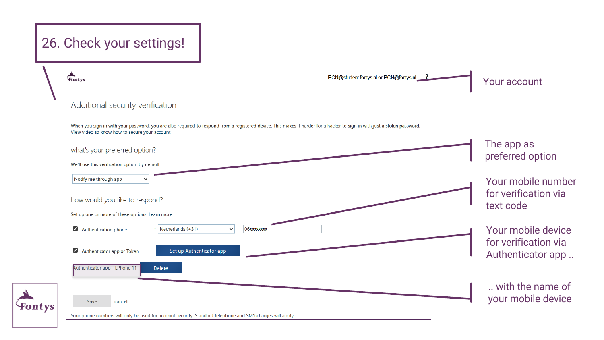### 26. Check your settings!

| $\sum_{\text{Fontys}}$                                                                                                                                                                                                     | PCN@student.fontys.nl or PCN@fontys.nl   ? | Your account                                            |
|----------------------------------------------------------------------------------------------------------------------------------------------------------------------------------------------------------------------------|--------------------------------------------|---------------------------------------------------------|
| Additional security verification                                                                                                                                                                                           |                                            |                                                         |
| When you sign in with your password, you are also required to respond from a registered device. This makes it harder for a hacker to sign in with just a stolen password.<br>View video to know how to secure your account |                                            |                                                         |
| what's your preferred option?<br>We'll use this verification option by default.                                                                                                                                            |                                            | The app as<br>preferred option                          |
| Notify me through app<br>how would you like to respond?                                                                                                                                                                    |                                            | Your mobile number<br>for verification via<br>text code |
| Set up one or more of these options. Learn more<br>Authentication phone<br>$*$ Netherlands (+31)<br>06xxxxxxxx<br>$\checkmark$                                                                                             |                                            | Your mobile device                                      |
| Authenticator app or Token<br>Set up Authenticator app                                                                                                                                                                     |                                            | for verification via<br>Authenticator app               |
| Authenticator app - LPhone 11<br><b>Delete</b>                                                                                                                                                                             |                                            | with the name of                                        |
| Save<br>cancel<br>Your phone numbers will only be used for account security. Standard telephone and SMS charges will apply.                                                                                                |                                            | your mobile device                                      |

 $\sum_{\text{Font}}$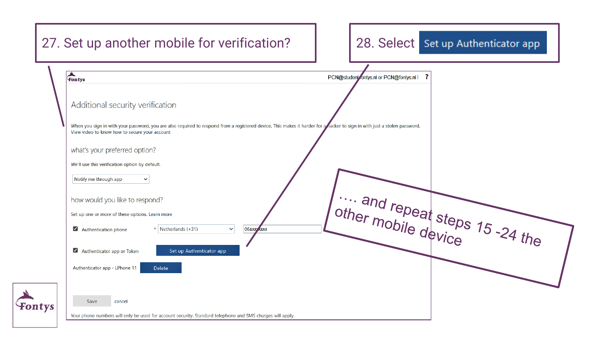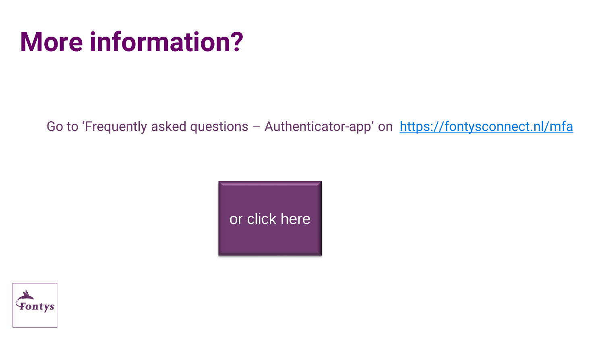## **More information?**

Go to 'Frequently asked questions - Authenticator-app' on <https://fontysconnect.nl/mfa>